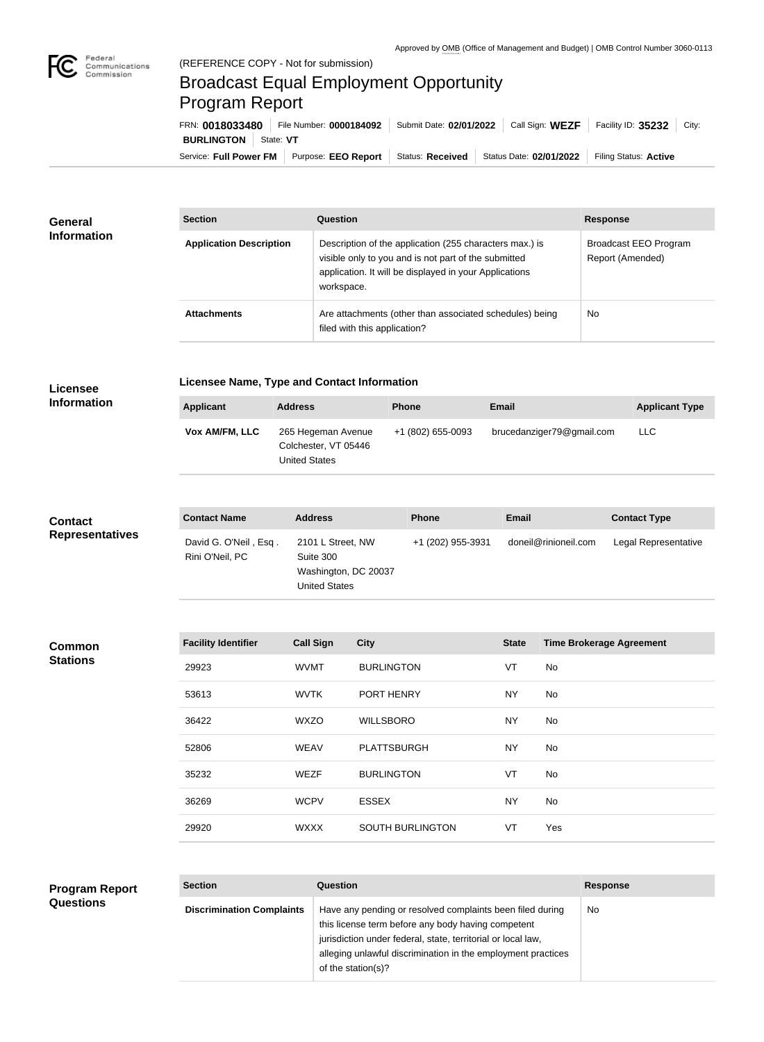

## Broadcast Equal Employment Opportunity Program Report

Service: Full Power FM Purpose: EEO Report | Status: Received | Status Date: 02/01/2022 | Filing Status: Active **BURLINGTON** State: VT FRN: **0018033480** File Number: **0000184092** Submit Date: **02/01/2022** Call Sign: **WEZF** Facility ID: **35232** City:

| <b>General</b><br><b>Information</b> | <b>Section</b>                 | Question                                                                                                                                                                                | <b>Response</b>                           |  |
|--------------------------------------|--------------------------------|-----------------------------------------------------------------------------------------------------------------------------------------------------------------------------------------|-------------------------------------------|--|
|                                      | <b>Application Description</b> | Description of the application (255 characters max.) is<br>visible only to you and is not part of the submitted<br>application. It will be displayed in your Applications<br>workspace. | Broadcast EEO Program<br>Report (Amended) |  |
|                                      | <b>Attachments</b>             | Are attachments (other than associated schedules) being<br>filed with this application?                                                                                                 | No                                        |  |

## **Licensee Information**

**Licensee Name, Type and Contact Information**

| +1 (802) 655-0093<br>brucedanziger79@gmail.com<br>265 Hegeman Avenue<br><b>LLC</b><br><b>Vox AM/FM, LLC</b><br>Colchester, VT 05446<br><b>United States</b> | <b>Applicant</b> | <b>Address</b> | <b>Phone</b> | <b>Email</b> | <b>Applicant Type</b> |
|-------------------------------------------------------------------------------------------------------------------------------------------------------------|------------------|----------------|--------------|--------------|-----------------------|
|                                                                                                                                                             |                  |                |              |              |                       |

| <b>Contact</b><br><b>Representatives</b> | <b>Contact Name</b>                      | <b>Address</b>                                                                 | <b>Phone</b>      | <b>Email</b>         | <b>Contact Type</b>  |
|------------------------------------------|------------------------------------------|--------------------------------------------------------------------------------|-------------------|----------------------|----------------------|
|                                          | David G. O'Neil, Esq.<br>Rini O'Neil, PC | 2101 L Street, NW<br>Suite 300<br>Washington, DC 20037<br><b>United States</b> | +1 (202) 955-3931 | doneil@rinioneil.com | Legal Representative |

| <b>Common</b><br><b>Stations</b> | <b>Facility Identifier</b> | <b>Call Sign</b> | <b>City</b>             | <b>State</b> | <b>Time Brokerage Agreement</b> |
|----------------------------------|----------------------------|------------------|-------------------------|--------------|---------------------------------|
|                                  | 29923                      | <b>WVMT</b>      | <b>BURLINGTON</b>       | VT           | No                              |
|                                  | 53613                      | <b>WVTK</b>      | PORT HENRY              | <b>NY</b>    | No                              |
|                                  | 36422                      | <b>WXZO</b>      | <b>WILLSBORO</b>        | <b>NY</b>    | No                              |
|                                  | 52806                      | <b>WEAV</b>      | <b>PLATTSBURGH</b>      | <b>NY</b>    | No                              |
|                                  | 35232                      | <b>WEZF</b>      | <b>BURLINGTON</b>       | VT           | No                              |
|                                  | 36269                      | <b>WCPV</b>      | <b>ESSEX</b>            | <b>NY</b>    | No                              |
|                                  | 29920                      | <b>WXXX</b>      | <b>SOUTH BURLINGTON</b> | VT           | Yes                             |
|                                  |                            |                  |                         |              |                                 |

| <b>Program Report</b><br><b>Questions</b> | <b>Section</b>                   | <b>Question</b>                                                                                                                                                                                                                                                       | <b>Response</b> |
|-------------------------------------------|----------------------------------|-----------------------------------------------------------------------------------------------------------------------------------------------------------------------------------------------------------------------------------------------------------------------|-----------------|
|                                           | <b>Discrimination Complaints</b> | Have any pending or resolved complaints been filed during<br>this license term before any body having competent<br>jurisdiction under federal, state, territorial or local law,<br>alleging unlawful discrimination in the employment practices<br>of the station(s)? | <b>No</b>       |